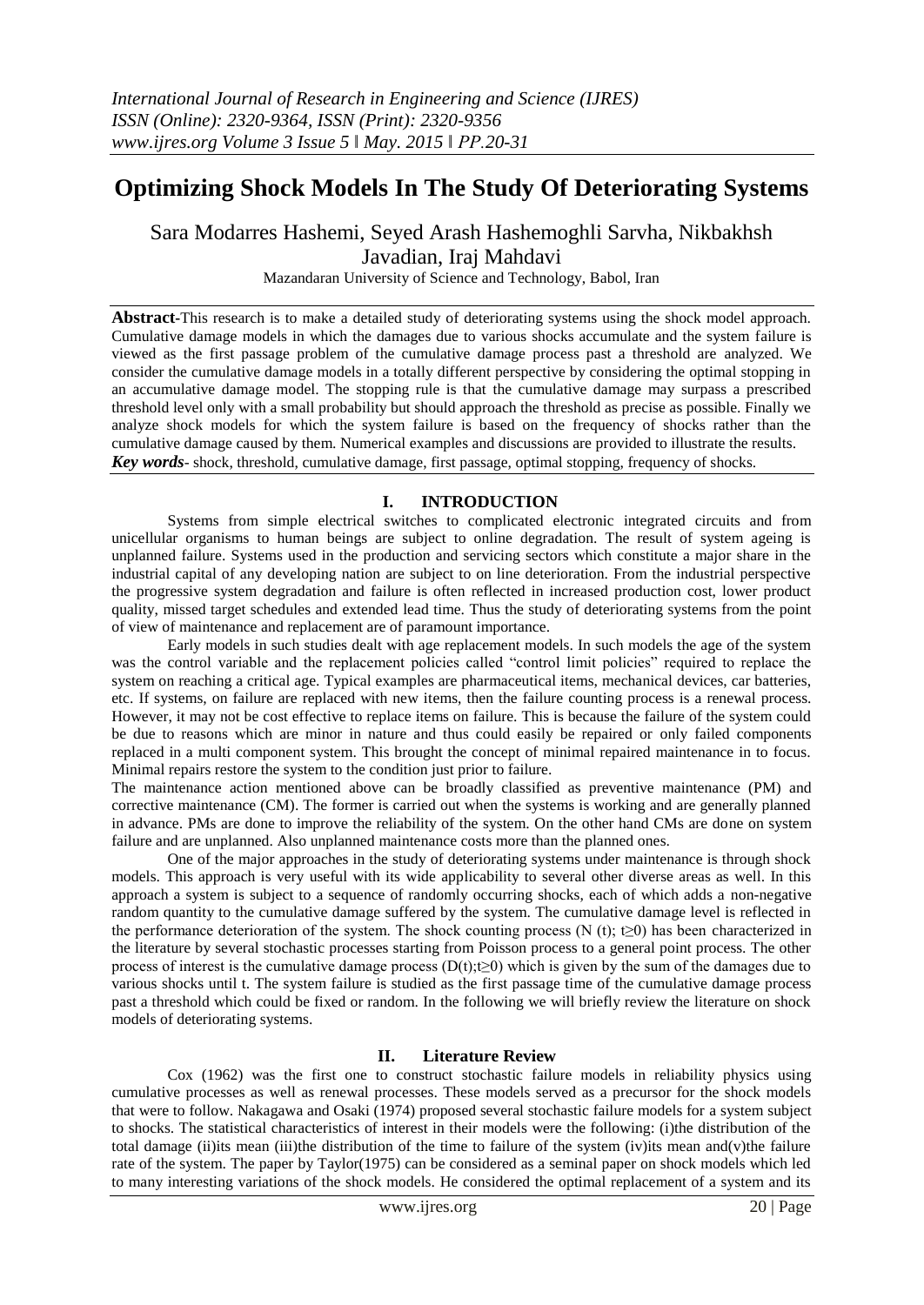# **Optimizing Shock Models In The Study Of Deteriorating Systems**

Sara Modarres Hashemi, Seyed Arash Hashemoghli Sarvha, Nikbakhsh Javadian, Iraj Mahdavi

Mazandaran University of Science and Technology, Babol, Iran

**Abstract-**This research is to make a detailed study of deteriorating systems using the shock model approach. Cumulative damage models in which the damages due to various shocks accumulate and the system failure is viewed as the first passage problem of the cumulative damage process past a threshold are analyzed. We consider the cumulative damage models in a totally different perspective by considering the optimal stopping in an accumulative damage model. The stopping rule is that the cumulative damage may surpass a prescribed threshold level only with a small probability but should approach the threshold as precise as possible. Finally we analyze shock models for which the system failure is based on the frequency of shocks rather than the cumulative damage caused by them. Numerical examples and discussions are provided to illustrate the results. *Key words-* shock, threshold, cumulative damage, first passage, optimal stopping, frequency of shocks.

# **I. INTRODUCTION**

Systems from simple electrical switches to complicated electronic integrated circuits and from unicellular organisms to human beings are subject to online degradation. The result of system ageing is unplanned failure. Systems used in the production and servicing sectors which constitute a major share in the industrial capital of any developing nation are subject to on line deterioration. From the industrial perspective the progressive system degradation and failure is often reflected in increased production cost, lower product quality, missed target schedules and extended lead time. Thus the study of deteriorating systems from the point of view of maintenance and replacement are of paramount importance.

Early models in such studies dealt with age replacement models. In such models the age of the system was the control variable and the replacement policies called "control limit policies" required to replace the system on reaching a critical age. Typical examples are pharmaceutical items, mechanical devices, car batteries, etc. If systems, on failure are replaced with new items, then the failure counting process is a renewal process. However, it may not be cost effective to replace items on failure. This is because the failure of the system could be due to reasons which are minor in nature and thus could easily be repaired or only failed components replaced in a multi component system. This brought the concept of minimal repaired maintenance in to focus. Minimal repairs restore the system to the condition just prior to failure.

The maintenance action mentioned above can be broadly classified as preventive maintenance (PM) and corrective maintenance (CM). The former is carried out when the systems is working and are generally planned in advance. PMs are done to improve the reliability of the system. On the other hand CMs are done on system failure and are unplanned. Also unplanned maintenance costs more than the planned ones.

One of the major approaches in the study of deteriorating systems under maintenance is through shock models. This approach is very useful with its wide applicability to several other diverse areas as well. In this approach a system is subject to a sequence of randomly occurring shocks, each of which adds a non-negative random quantity to the cumulative damage suffered by the system. The cumulative damage level is reflected in the performance deterioration of the system. The shock counting process (N (t); t≥0) has been characterized in the literature by several stochastic processes starting from Poisson process to a general point process. The other process of interest is the cumulative damage process  $(D(t);t≥0)$  which is given by the sum of the damages due to various shocks until t. The system failure is studied as the first passage time of the cumulative damage process past a threshold which could be fixed or random. In the following we will briefly review the literature on shock models of deteriorating systems.

# **II. Literature Review**

Cox (1962) was the first one to construct stochastic failure models in reliability physics using cumulative processes as well as renewal processes. These models served as a precursor for the shock models that were to follow. Nakagawa and Osaki (1974) proposed several stochastic failure models for a system subject to shocks. The statistical characteristics of interest in their models were the following: (i)the distribution of the total damage (ii)its mean (iii)the distribution of the time to failure of the system (iv)its mean and(v)the failure rate of the system. The paper by Taylor(1975) can be considered as a seminal paper on shock models which led to many interesting variations of the shock models. He considered the optimal replacement of a system and its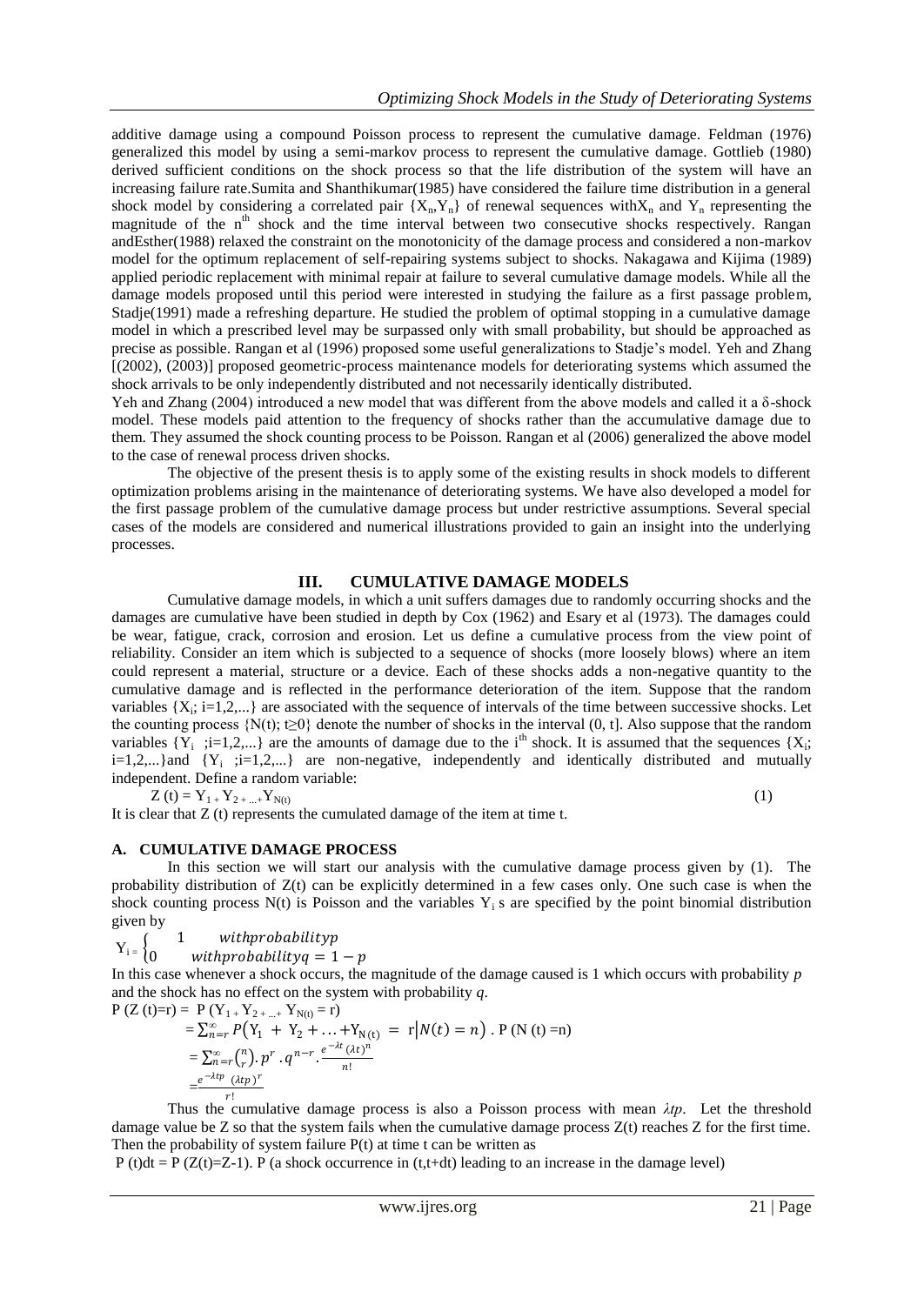additive damage using a compound Poisson process to represent the cumulative damage. Feldman (1976) generalized this model by using a semi-markov process to represent the cumulative damage. Gottlieb (1980) derived sufficient conditions on the shock process so that the life distribution of the system will have an increasing failure rate.Sumita and Shanthikumar(1985) have considered the failure time distribution in a general shock model by considering a correlated pair  ${X_n, Y_n}$  of renewal sequences with $X_n$  and  $Y_n$  representing the magnitude of the  $n<sup>th</sup>$  shock and the time interval between two consecutive shocks respectively. Rangan andEsther(1988) relaxed the constraint on the monotonicity of the damage process and considered a non-markov model for the optimum replacement of self-repairing systems subject to shocks. Nakagawa and Kijima (1989) applied periodic replacement with minimal repair at failure to several cumulative damage models. While all the damage models proposed until this period were interested in studying the failure as a first passage problem, Stadje(1991) made a refreshing departure. He studied the problem of optimal stopping in a cumulative damage model in which a prescribed level may be surpassed only with small probability, but should be approached as precise as possible. Rangan et al (1996) proposed some useful generalizations to Stadje's model. Yeh and Zhang [(2002), (2003)] proposed geometric-process maintenance models for deteriorating systems which assumed the shock arrivals to be only independently distributed and not necessarily identically distributed.

Yeh and Zhang (2004) introduced a new model that was different from the above models and called it a δ-shock model. These models paid attention to the frequency of shocks rather than the accumulative damage due to them. They assumed the shock counting process to be Poisson. Rangan et al (2006) generalized the above model to the case of renewal process driven shocks.

The objective of the present thesis is to apply some of the existing results in shock models to different optimization problems arising in the maintenance of deteriorating systems. We have also developed a model for the first passage problem of the cumulative damage process but under restrictive assumptions. Several special cases of the models are considered and numerical illustrations provided to gain an insight into the underlying processes.

## **III. CUMULATIVE DAMAGE MODELS**

Cumulative damage models, in which a unit suffers damages due to randomly occurring shocks and the damages are cumulative have been studied in depth by Cox (1962) and Esary et al (1973). The damages could be wear, fatigue, crack, corrosion and erosion. Let us define a cumulative process from the view point of reliability. Consider an item which is subjected to a sequence of shocks (more loosely blows) where an item could represent a material, structure or a device. Each of these shocks adds a non-negative quantity to the cumulative damage and is reflected in the performance deterioration of the item. Suppose that the random variables  $\{X_i; i=1,2,...\}$  are associated with the sequence of intervals of the time between successive shocks. Let the counting process  $\{N(t); t \geq 0\}$  denote the number of shocks in the interval  $(0, t]$ . Also suppose that the random variables  $\{Y_i$ ; ;i=1,2,...} are the amounts of damage due to the i<sup>th</sup> shock. It is assumed that the sequences  $\{X_i$ ;  $i=1,2,...$ } and  ${Y_i$  ; $i=1,2,...}$  are non-negative, independently and identically distributed and mutually independent. Define a random variable:

$$
Z(t) = Y_{1+} Y_{2+...+} Y_{N(t)}
$$

It is clear that Z (t) represents the cumulated damage of the item at time t.

(1)

## **A. CUMULATIVE DAMAGE PROCESS**

In this section we will start our analysis with the cumulative damage process given by (1). The probability distribution of  $Z(t)$  can be explicitly determined in a few cases only. One such case is when the shock counting process  $N(t)$  is Poisson and the variables  $Y_i$  s are specified by the point binomial distribution given by

1 withprobabilityp

 $Y_i$ withprobability $q = 1 - p$ 

In this case whenever a shock occurs, the magnitude of the damage caused is 1 which occurs with probability *p* and the shock has no effect on the system with probability *q*.  $P(Z)$ 

$$
P(Z(t)=r) = P(Y_{1+}Y_{2+...+}Y_{N(t)}=r)
$$
  
=  $\sum_{n=r}^{\infty} P(Y_{1} + Y_{2} + ... + Y_{N(t)} = r|N(t) = n)$ . P (N (t) = n)  
=  $\sum_{n=r}^{\infty} {n \choose r} p^{r} \cdot q^{n-r} \cdot \frac{e^{-\lambda t} (\lambda t)^{n}}{n!}$   
=  $\frac{e^{-\lambda t p} (\lambda t p)^{r}}{r!}$ 

Thus the cumulative damage process is also a Poisson process with mean  $\lambda tp$ . Let the threshold damage value be  $Z$  so that the system fails when the cumulative damage process  $Z(t)$  reaches  $Z$  for the first time. Then the probability of system failure  $P(t)$  at time t can be written as

 $P(t)dt = P(Z(t)=Z-1)$ . P (a shock occurrence in (t,t+dt) leading to an increase in the damage level)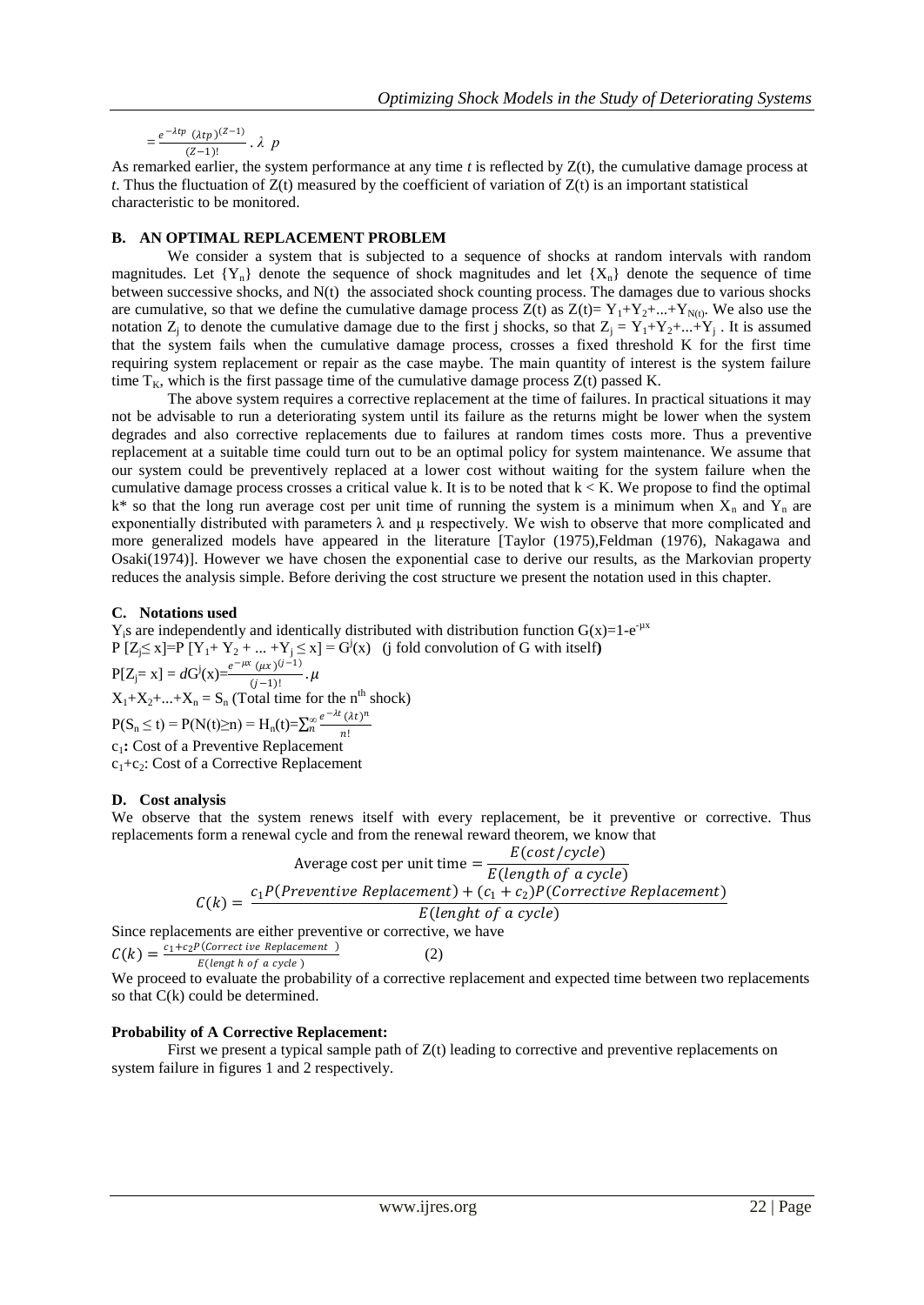$$
=\frac{e^{-\lambda tp}(\lambda tp)^{(Z-1)}}{(Z-1)!}\cdot \lambda p
$$

As remarked earlier, the system performance at any time *t* is reflected by Z(t), the cumulative damage process at *t*. Thus the fluctuation of  $Z(t)$  measured by the coefficient of variation of  $Z(t)$  is an important statistical characteristic to be monitored.

#### **B. AN OPTIMAL REPLACEMENT PROBLEM**

We consider a system that is subjected to a sequence of shocks at random intervals with random magnitudes. Let  ${Y_n}$  denote the sequence of shock magnitudes and let  ${X_n}$  denote the sequence of time between successive shocks, and N(t) the associated shock counting process. The damages due to various shocks are cumulative, so that we define the cumulative damage process  $Z(t)$  as  $Z(t)= Y_1+Y_2+...+Y_{N(t)}$ . We also use the notation  $Z_j$  to denote the cumulative damage due to the first j shocks, so that  $Z_j = Y_1 + Y_2 + ... + Y_j$ . It is assumed that the system fails when the cumulative damage process, crosses a fixed threshold K for the first time requiring system replacement or repair as the case maybe. The main quantity of interest is the system failure time  $T_K$ , which is the first passage time of the cumulative damage process  $Z(t)$  passed K.

The above system requires a corrective replacement at the time of failures. In practical situations it may not be advisable to run a deteriorating system until its failure as the returns might be lower when the system degrades and also corrective replacements due to failures at random times costs more. Thus a preventive replacement at a suitable time could turn out to be an optimal policy for system maintenance. We assume that our system could be preventively replaced at a lower cost without waiting for the system failure when the cumulative damage process crosses a critical value k. It is to be noted that  $k < K$ . We propose to find the optimal  $k^*$  so that the long run average cost per unit time of running the system is a minimum when  $X_n$  and  $Y_n$  are exponentially distributed with parameters  $\lambda$  and  $\mu$  respectively. We wish to observe that more complicated and more generalized models have appeared in the literature [Taylor (1975), Feldman (1976), Nakagawa and Osaki(1974)]. However we have chosen the exponential case to derive our results, as the Markovian property reduces the analysis simple. Before deriving the cost structure we present the notation used in this chapter.

#### **C. Notations used**

 $Y_i$ s are independently and identically distributed with distribution function  $G(x)=1-e^{-\mu x}$  $P[Z \le x] = P[Y_1 + Y_2 + ... + Y_j \le x] = G^j(x)$  (j fold convolution of G with itself)  $P[Z_j = x] = dG^{j}(x) = \frac{e^{-\mu x} (\mu x)^{(j-1)}}{(j-1)!}$  $\frac{(\mu x)^2}{(j-1)!}$ .  $\mu$  $X_1+X_2+\ldots+X_n = S_n$  (Total time for the n<sup>th</sup> shock)  $P(S_n \le t) = P(N(t)\ge n) = H_n(t) = \sum_{n=0}^{\infty} \frac{e^{-\lambda t} (\lambda t)^n}{n!}$ n! *∞* c1**:** Cost of a Preventive Replacement c<sub>1</sub>+c<sub>2</sub>: Cost of a Corrective Replacement

## **D. Cost analysis**

We observe that the system renews itself with every replacement, be it preventive or corrective. Thus replacements form a renewal cycle and from the renewal reward theorem, we know that

$$
\text{Average cost per unit time} = \frac{E(cost/cycle)}{E(length of a cycle)}
$$
\n
$$
C(k) = \frac{c_1 P(Preventive Replacement) + (c_1 + c_2) P(Corrective Replacement)}{E(length of a cycle)}
$$

Since replacements are either preventive or corrective, we have

$$
C(k) = \frac{c_1 + c_2 P(\text{Corrective Replacement } )}{E(\text{length of a cycle } )}
$$
 (2)

We proceed to evaluate the probability of a corrective replacement and expected time between two replacements so that C(k) could be determined.

#### **Probability of A Corrective Replacement:**

First we present a typical sample path of  $Z(t)$  leading to corrective and preventive replacements on system failure in figures 1 and 2 respectively.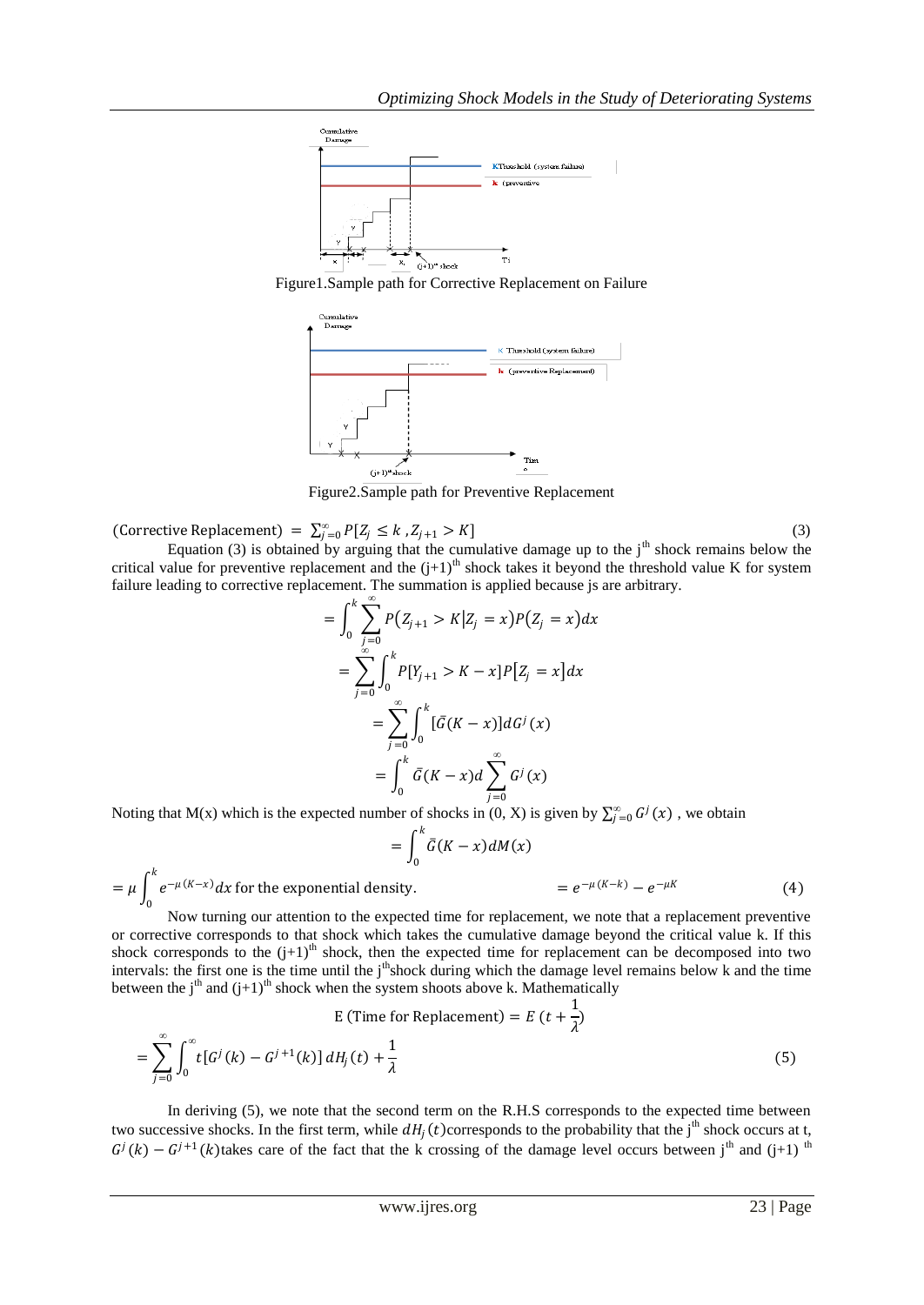

Figure1.Sample path for Corrective Replacement on Failure



Figure2.Sample path for Preventive Replacement

(Corrective Replacement) =  $\sum_{j=0}^{\infty} P[Z_j \le k , Z_{j+1} > K]$ 

 $=\mu\int_{0}^{k}e^{-\mu(K-x)}dx$ 

Equation (3) is obtained by arguing that the cumulative damage up to the  $j<sup>th</sup>$  shock remains below the critical value for preventive replacement and the  $(j+1)^{th}$  shock takes it beyond the threshold value K for system failure leading to corrective replacement. The summation is applied because js are arbitrary.

$$
= \int_0^k \sum_{j=0}^\infty P(Z_{j+1} > K | Z_j = x) P(Z_j = x) dx
$$
  

$$
= \sum_{j=0}^\infty \int_0^k P[Y_{j+1} > K - x] P[Z_j = x] dx
$$
  

$$
= \sum_{j=0}^\infty \int_0^k [\bar{G}(K - x)] dG^j(x)
$$
  

$$
= \int_0^k \bar{G}(K - x) d \sum_{j=0}^\infty G^j(x)
$$

Noting that M(x) which is the expected number of shocks in  $(0, X)$  is given by  $\sum_{j=0}^{\infty} G^j(x)$ , we obtain

$$
=\int_0^k \bar{G}(K-x)dM(x)
$$

for the exponential density.  $= e$  $-\mu(K-k) - e^{-\mu K}$ (4)

(3)

0 Now turning our attention to the expected time for replacement, we note that a replacement preventive or corrective corresponds to that shock which takes the cumulative damage beyond the critical value k. If this shock corresponds to the  $(j+1)$ <sup>th</sup> shock, then the expected time for replacement can be decomposed into two intervals: the first one is the time until the j<sup>th</sup>shock during which the damage level remains below k and the time between the j<sup>th</sup> and  $(j+1)$ <sup>th</sup> shock when the system shoots above k. Mathematically

$$
E \text{ (Time for Replacement)} = E \text{ } (t + \frac{1}{\lambda})
$$
\n
$$
= \sum_{j=0}^{\infty} \int_{0}^{\infty} t[G^{j}(k) - G^{j+1}(k)] \, dH_{j}(t) + \frac{1}{\lambda} \tag{5}
$$

In deriving (5), we note that the second term on the R.H.S corresponds to the expected time between two successive shocks. In the first term, while  $dH_j(t)$  corresponds to the probability that the j<sup>th</sup> shock occurs at t,  $G^{j}(k) - G^{j+1}(k)$ takes care of the fact that the k crossing of the damage level occurs between j<sup>th</sup> and (j+1)<sup>th</sup>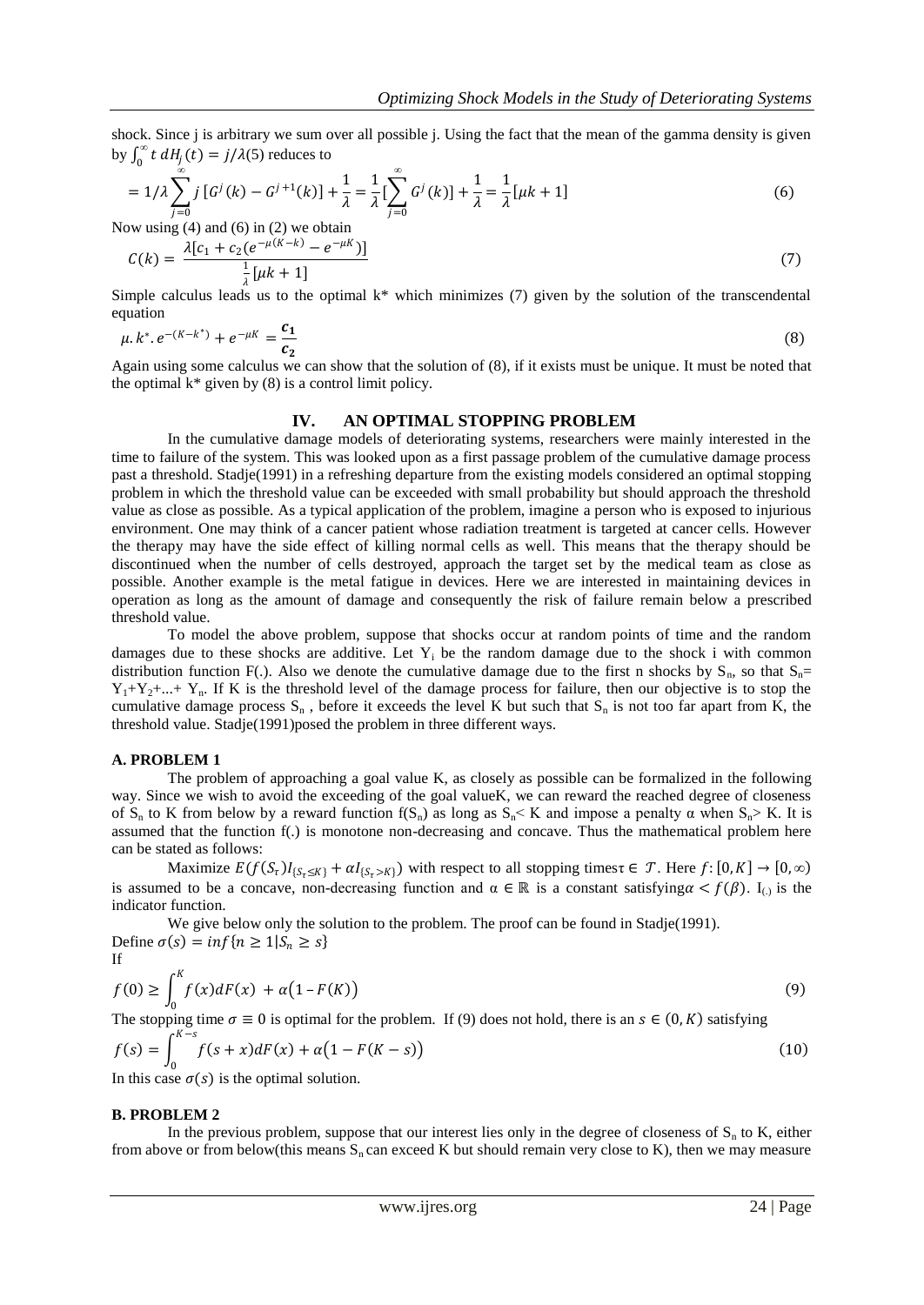shock. Since *j* is arbitrary we sum over all possible *j*. Using the fact that the mean of the gamma density is given by  $\int_0^\infty t \, dH_j(t) = j/\lambda$  $\int_0^\infty t \, dH_j(t) = j/\lambda(5)$  reduces to

$$
= 1/\lambda \sum_{j=0}^{\infty} j \left[ G^{j}(k) - G^{j+1}(k) \right] + \frac{1}{\lambda} = \frac{1}{\lambda} \left[ \sum_{j=0}^{\infty} G^{j}(k) \right] + \frac{1}{\lambda} = \frac{1}{\lambda} \left[ \mu k + 1 \right]
$$
(6)

Now using (4) and (6) in (2) we obtain  $\mu$   $(K - k)$ 

$$
C(k) = \frac{\lambda[c_1 + c_2(e^{-\mu(K-k)} - e^{-\mu K})]}{\frac{1}{\lambda}[\mu k + 1]}
$$
\n(7)

Simple calculus leads us to the optimal k\* which minimizes (7) given by the solution of the transcendental equation

$$
\mu \cdot k^* \cdot e^{-(K-k^*)} + e^{-\mu k} = \frac{c_1}{c_2} \tag{8}
$$

Again using some calculus we can show that the solution of (8), if it exists must be unique. It must be noted that the optimal  $k^*$  given by (8) is a control limit policy.

## **IV. AN OPTIMAL STOPPING PROBLEM**

In the cumulative damage models of deteriorating systems, researchers were mainly interested in the time to failure of the system. This was looked upon as a first passage problem of the cumulative damage process past a threshold. Stadje(1991) in a refreshing departure from the existing models considered an optimal stopping problem in which the threshold value can be exceeded with small probability but should approach the threshold value as close as possible. As a typical application of the problem, imagine a person who is exposed to injurious environment. One may think of a cancer patient whose radiation treatment is targeted at cancer cells. However the therapy may have the side effect of killing normal cells as well. This means that the therapy should be discontinued when the number of cells destroyed, approach the target set by the medical team as close as possible. Another example is the metal fatigue in devices. Here we are interested in maintaining devices in operation as long as the amount of damage and consequently the risk of failure remain below a prescribed threshold value.

To model the above problem, suppose that shocks occur at random points of time and the random damages due to these shocks are additive. Let  $Y_i$  be the random damage due to the shock i with common distribution function F(.). Also we denote the cumulative damage due to the first n shocks by  $S_n$ , so that  $S_n=$  $Y_1+Y_2+...+Y_n$ . If K is the threshold level of the damage process for failure, then our objective is to stop the cumulative damage process  $S_n$ , before it exceeds the level K but such that  $S_n$  is not too far apart from K, the threshold value. Stadje(1991)posed the problem in three different ways.

#### **A. PROBLEM 1**

The problem of approaching a goal value K, as closely as possible can be formalized in the following way. Since we wish to avoid the exceeding of the goal valueK, we can reward the reached degree of closeness of S<sub>n</sub> to K from below by a reward function f(S<sub>n</sub>) as long as  $S_n \le K$  and impose a penalty  $\alpha$  when  $S_n \ge K$ . It is assumed that the function f(.) is monotone non-decreasing and concave. Thus the mathematical problem here can be stated as follows:

Maximize  $E(f(S_t)I_{\{S_t \leq K\}} + \alpha I_{\{S_t > K\}})$  with respect to all stopping timest  $\in \mathcal{T}$ . Here  $f: [0, K] \to [0, \infty)$ is assumed to be a concave, non-decreasing function and  $\alpha \in \mathbb{R}$  is a constant satisfying  $\alpha < f(\beta)$ . I<sub>(i)</sub> is the indicator function.

We give below only the solution to the problem. The proof can be found in Stadje(1991). Define  $\sigma(s) = \inf\{n \geq 1 | S_n \geq s\}$ If

$$
f(0) \ge \int_0^K f(x) dF(x) + \alpha (1 - F(K))
$$
  
The stopping time  $\sigma \equiv 0$  is optimal for the problem. If (9) does not hold, there is an  $s \in (0, K)$  satisfying

$$
f(s) = \int_0^{K-s} f(s+x) dF(x) + \alpha (1 - F(K-s))
$$
\n(10)

In this case  $\sigma(s)$  is the optimal solution.

#### **B. PROBLEM 2**

In the previous problem, suppose that our interest lies only in the degree of closeness of  $S_n$  to  $K$ , either from above or from below(this means  $S_n$  can exceed K but should remain very close to K), then we may measure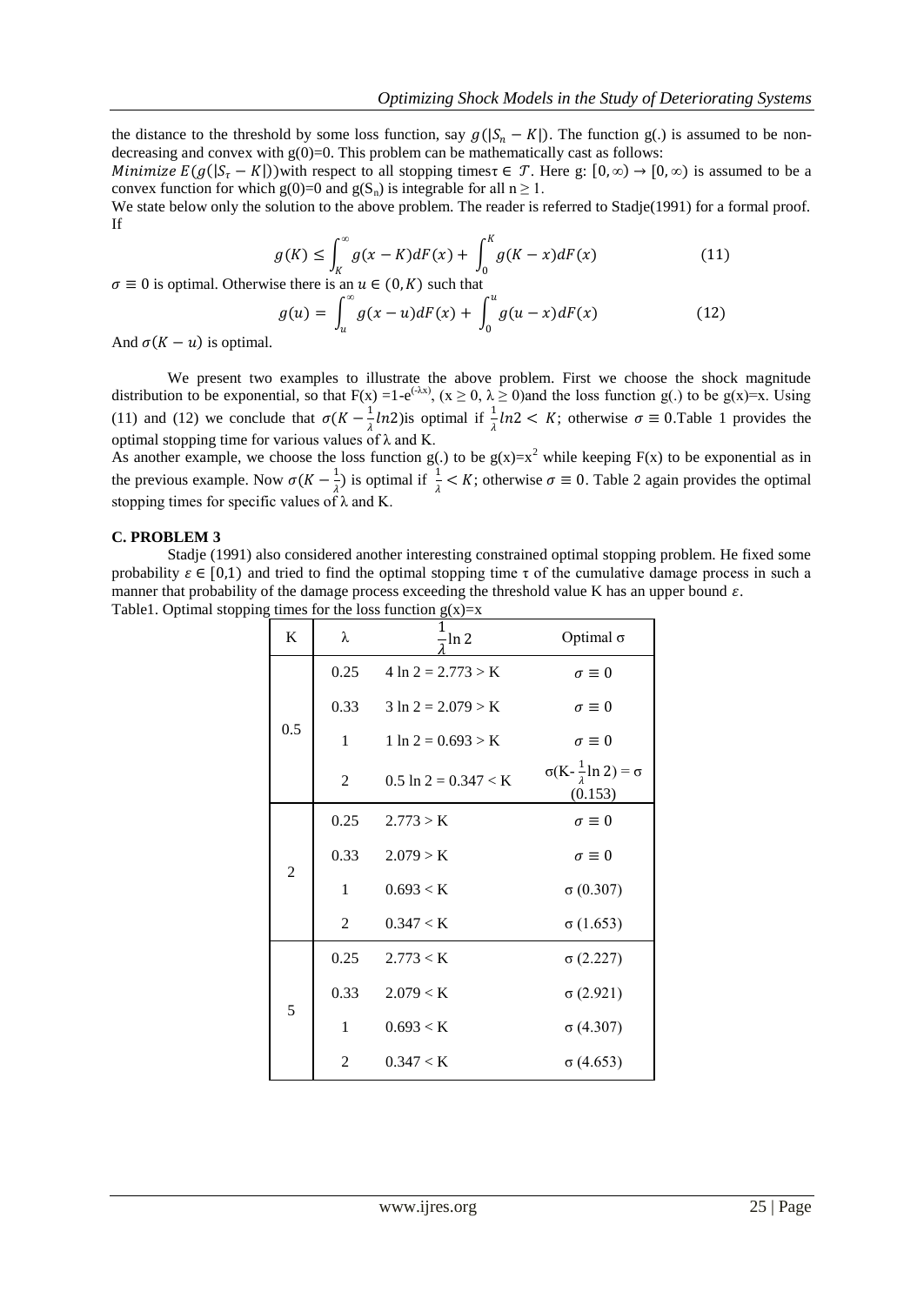the distance to the threshold by some loss function, say  $g(|S_n - K|)$ . The function g(.) is assumed to be nondecreasing and convex with  $g(0)=0$ . This problem can be mathematically cast as follows:

Minimize  $E(g([S_{\tau}-K]))$  with respect to all stopping timest  $\in \mathcal{T}$ . Here g:  $[0,\infty) \to [0,\infty)$  is assumed to be a convex function for which  $g(0)=0$  and  $g(S_n)$  is integrable for all  $n \ge 1$ .

We state below only the solution to the above problem. The reader is referred to Stadje(1991) for a formal proof. If

$$
g(K) \le \int_K^{\infty} g(x - K) dF(x) + \int_0^K g(K - x) dF(x) \tag{11}
$$

 $\sigma \equiv 0$  is optimal. Otherwise there is an  $u \in (0,K)$  such that

$$
g(u) = \int_{u}^{\infty} g(x - u) dF(x) + \int_{0}^{u} g(u - x) dF(x)
$$
 (12)

And  $\sigma(K - u)$  is optimal.

We present two examples to illustrate the above problem. First we choose the shock magnitude distribution to be exponential, so that  $F(x) = 1-e^{(\lambda x)}$ ,  $(x \ge 0, \lambda \ge 0)$  and the loss function g(.) to be g(x)=x. Using (11) and (12) we conclude that  $\sigma(K - \frac{1}{2})$  $\frac{1}{\lambda}$ ln2)is optimal if  $\frac{1}{\lambda}$ ln2 < K; otherwise  $\sigma \equiv 0$ . Table 1 provides the optimal stopping time for various values of  $\lambda$  and K.

As another example, we choose the loss function  $g(.)$  to be  $g(x)=x^2$  while keeping  $F(x)$  to be exponential as in the previous example. Now  $\sigma(K - \frac{1}{\sigma})$  $\frac{1}{\lambda}$ ) is optimal if  $\frac{1}{\lambda} < K$ ; otherwise  $\sigma \equiv 0$ . Table 2 again provides the optimal stopping times for specific values of  $\lambda$  and K.

#### **C. PROBLEM 3**

Stadje (1991) also considered another interesting constrained optimal stopping problem. He fixed some probability  $\varepsilon \in [0,1)$  and tried to find the optimal stopping time  $\tau$  of the cumulative damage process in such a manner that probability of the damage process exceeding the threshold value K has an upper bound  $\varepsilon$ . Table1. Optimal stopping times for the loss function  $g(x)=x$ 

| $\bf K$        | λ              | Optimal $\sigma$<br>$\frac{1}{2}$ ln 2 |                                                      |  |
|----------------|----------------|----------------------------------------|------------------------------------------------------|--|
| 0.5            | 0.25           | $4 \ln 2 = 2.773 > K$                  | $\sigma \equiv 0$                                    |  |
|                | 0.33           | $3 \ln 2 = 2.079 > K$                  | $\sigma \equiv 0$                                    |  |
|                | $\mathbf{1}$   | $1 \ln 2 = 0.693 > K$                  | $\sigma \equiv 0$                                    |  |
|                | 2              | $0.5 \ln 2 = 0.347 < K$                | $\sigma(K-\frac{1}{\lambda}\ln 2)=\sigma$<br>(0.153) |  |
| $\overline{2}$ | 0.25           | 2.773 > K                              | $\sigma \equiv 0$                                    |  |
|                |                | $0.33$ $2.079 > K$                     | $\sigma \equiv 0$                                    |  |
|                | $\mathbf{1}$   | 0.693 < K                              | $\sigma(0.307)$                                      |  |
|                | $\overline{2}$ | 0.347 < K                              | $\sigma(1.653)$                                      |  |
| 5              | 0.25           | 2.773 < K                              | $\sigma$ (2.227)                                     |  |
|                | 0.33           | 2.079 < K                              | $\sigma$ (2.921)                                     |  |
|                | $\mathbf{1}$   | 0.693 < K                              | $\sigma$ (4.307)                                     |  |
|                | 2              | 0.347 < K                              | $\sigma$ (4.653)                                     |  |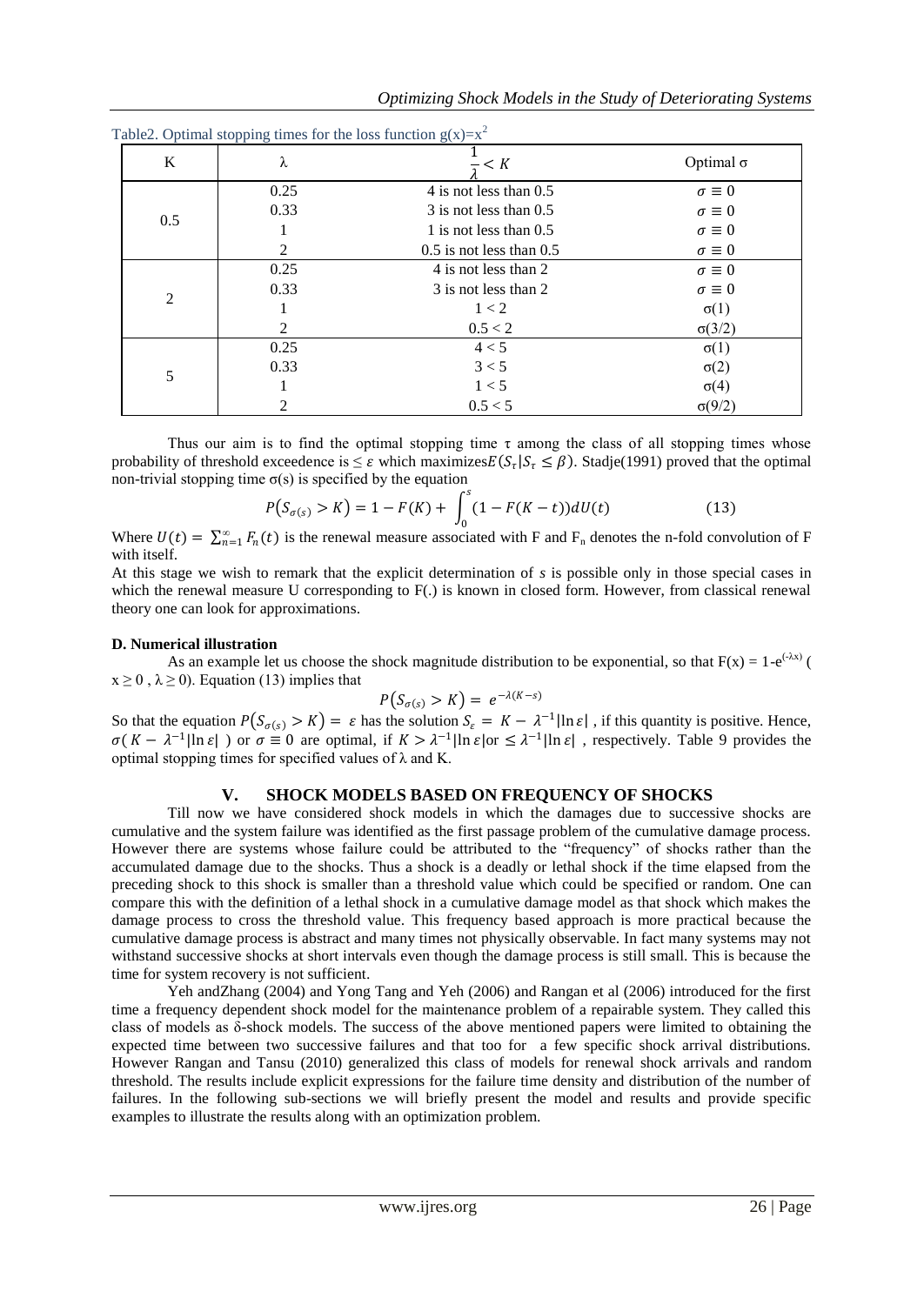| K   | λ    | $\frac{1}{\epsilon}$ < K     | Optimal $\sigma$  |
|-----|------|------------------------------|-------------------|
|     | 0.25 | 4 is not less than 0.5       | $\sigma \equiv 0$ |
|     | 0.33 | 3 is not less than 0.5       | $\sigma \equiv 0$ |
| 0.5 |      | 1 is not less than $0.5$     | $\sigma \equiv 0$ |
|     | 2    | $0.5$ is not less than $0.5$ | $\sigma \equiv 0$ |
|     | 0.25 | 4 is not less than 2         | $\sigma \equiv 0$ |
|     | 0.33 | 3 is not less than 2         | $\sigma \equiv 0$ |
| 2   |      | 1 < 2                        | $\sigma(1)$       |
|     | 2    | 0.5 < 2                      | $\sigma(3/2)$     |
|     | 0.25 | 4 < 5                        | $\sigma(1)$       |
|     | 0.33 | 3 < 5                        | $\sigma(2)$       |
| 5   |      | 1 < 5                        | $\sigma(4)$       |
|     | 2    | 0.5 < 5                      | $\sigma(9/2)$     |

Table<sup>2</sup>. Optimal stopping times for the loss function  $g(x)-x^2$ 

Thus our aim is to find the optimal stopping time  $\tau$  among the class of all stopping times whose probability of threshold exceedence is  $\leq \varepsilon$  which maximizes  $E(S_\tau | S_\tau \leq \beta)$ . Stadje(1991) proved that the optimal non-trivial stopping time  $\sigma(s)$  is specified by the equation

$$
P(S_{\sigma(s)} > K) = 1 - F(K) + \int_0^s (1 - F(K - t)) dU(t)
$$
\n(13)

Where  $U(t) = \sum_{n=1}^{\infty} F_n(t)$  is the renewal measure associated with F and F<sub>n</sub> denotes the n-fold convolution of F with itself.

At this stage we wish to remark that the explicit determination of *s* is possible only in those special cases in which the renewal measure U corresponding to  $F(.)$  is known in closed form. However, from classical renewal theory one can look for approximations.

#### **D. Numerical illustration**

As an example let us choose the shock magnitude distribution to be exponential, so that  $F(x) = 1-e^{(-\lambda x)}$  (  $x \ge 0$ ,  $\lambda \ge 0$ ). Equation (13) implies that

$$
P(S_{\sigma(s)} > K) = e^{-\lambda(K-s)}
$$

So that the equation  $P(S_{\sigma(s)} > K) = \varepsilon$  has the solution  $S_{\varepsilon} = K - \lambda^{-1} |\ln \varepsilon|$ , if this quantity is positive. Hence,  $\sigma(K - \lambda^{-1}|\ln \varepsilon|)$  or  $\sigma \equiv 0$  are optimal, if  $K > \lambda^{-1}|\ln \varepsilon|$   $\sigma \leq \lambda^{-1}|\ln \varepsilon|$ , respectively. Table 9 provides the optimal stopping times for specified values of  $\lambda$  and K.

## **V. SHOCK MODELS BASED ON FREQUENCY OF SHOCKS**

Till now we have considered shock models in which the damages due to successive shocks are cumulative and the system failure was identified as the first passage problem of the cumulative damage process. However there are systems whose failure could be attributed to the "frequency" of shocks rather than the accumulated damage due to the shocks. Thus a shock is a deadly or lethal shock if the time elapsed from the preceding shock to this shock is smaller than a threshold value which could be specified or random. One can compare this with the definition of a lethal shock in a cumulative damage model as that shock which makes the damage process to cross the threshold value. This frequency based approach is more practical because the cumulative damage process is abstract and many times not physically observable. In fact many systems may not withstand successive shocks at short intervals even though the damage process is still small. This is because the time for system recovery is not sufficient.

Yeh andZhang (2004) and Yong Tang and Yeh (2006) and Rangan et al (2006) introduced for the first time a frequency dependent shock model for the maintenance problem of a repairable system. They called this class of models as δ-shock models. The success of the above mentioned papers were limited to obtaining the expected time between two successive failures and that too for a few specific shock arrival distributions. However Rangan and Tansu (2010) generalized this class of models for renewal shock arrivals and random threshold. The results include explicit expressions for the failure time density and distribution of the number of failures. In the following sub-sections we will briefly present the model and results and provide specific examples to illustrate the results along with an optimization problem.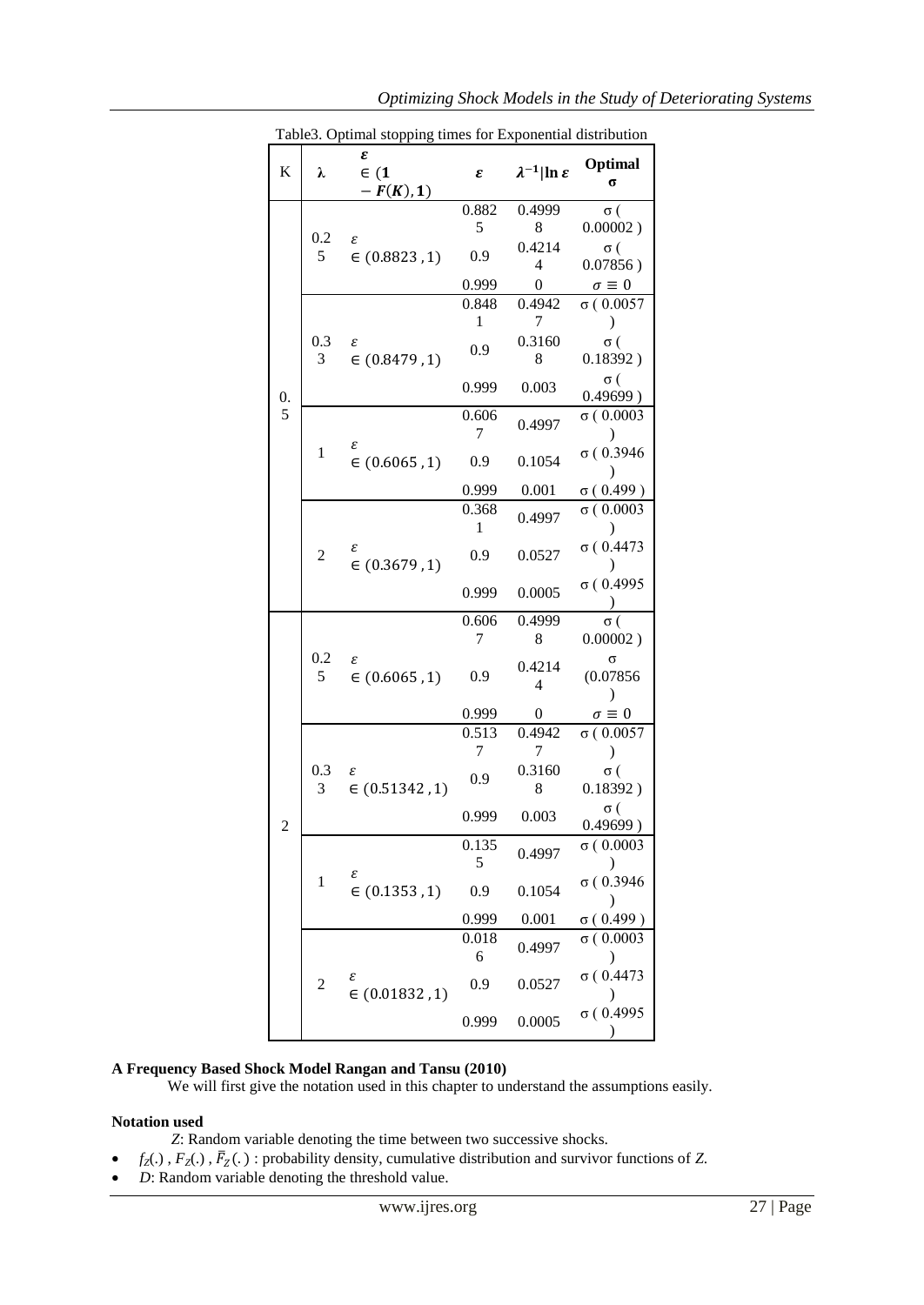|               | Table3. Optimal stopping times for Exponential distribution |                              |                       |                                  |                                    |  |  |
|---------------|-------------------------------------------------------------|------------------------------|-----------------------|----------------------------------|------------------------------------|--|--|
| K             | λ                                                           | ε<br>$\in (1$<br>$-F(K), 1)$ | ε                     | $\lambda^{-1}$  ln $\varepsilon$ | Optimal<br>σ                       |  |  |
| $\frac{0}{5}$ |                                                             |                              | 0.882                 | 0.4999                           | σ (                                |  |  |
|               | 0.2<br>5                                                    | ε<br>$\in (0.8823, 1)$       | 5                     | 8                                | 0.00002)                           |  |  |
|               |                                                             |                              | 0.9                   | 0.4214<br>4                      | σ (<br>$0.07856$ )                 |  |  |
|               |                                                             |                              | 0.999                 | $\boldsymbol{0}$                 | $\sigma \equiv 0$                  |  |  |
|               |                                                             | ε<br>$\in (0.8479, 1)$       | 0.848                 | 0.4942                           | $\sigma(0.0057)$                   |  |  |
|               | 0.3<br>3                                                    |                              | 1                     | 7                                | $\mathcal{E}$                      |  |  |
|               |                                                             |                              | 0.9                   | 0.3160<br>8                      | σ (<br>0.18392)                    |  |  |
|               |                                                             |                              | 0.999                 | 0.003                            | σ (<br>0.49699)                    |  |  |
|               | 1                                                           | ε<br>$\in (0.6065, 1)$       | 0.606<br>7            | 0.4997                           | $\sigma(0.0003)$<br>$\mathcal{L}$  |  |  |
|               |                                                             |                              | 0.9                   | 0.1054                           | $\sigma(0.3946)$                   |  |  |
|               |                                                             |                              | 0.999                 | 0.001                            | $\sigma(0.499)$                    |  |  |
|               | $\overline{c}$                                              | ε<br>$\in (0.3679, 1)$       | 0.368<br>$\mathbf{1}$ | 0.4997                           | $\sigma(0.0003)$                   |  |  |
|               |                                                             |                              | 0.9                   | 0.0527                           | $\sigma(0.4473)$                   |  |  |
|               |                                                             |                              | 0.999                 | 0.0005                           | $\sigma(0.4995)$                   |  |  |
|               | 0.2<br>5                                                    | ε<br>$\in (0.6065, 1)$       | 0.606                 | 0.4999                           | σ (                                |  |  |
|               |                                                             |                              | 7                     | 8                                | $0.00002$ )                        |  |  |
|               |                                                             |                              | 0.9                   | 0.4214<br>$\overline{4}$         | $\Omega$<br>(0.07856)<br>$\lambda$ |  |  |
|               |                                                             |                              | 0.999                 | $\boldsymbol{0}$                 | $\sigma\equiv 0$                   |  |  |
|               | 0.3<br>3                                                    | ε<br>$\in (0.51342, 1)$      | 0.513                 | 0.4942                           | $\sigma(0.0057)$                   |  |  |
|               |                                                             |                              | 7                     | 7                                | $\lambda$                          |  |  |
|               |                                                             |                              | 0.9                   | 0.3160<br>8                      | σ (<br>0.18392)                    |  |  |
|               |                                                             |                              | 0.999                 | 0.003                            | σ (<br>0.49699)                    |  |  |
|               | 1                                                           | ε<br>$\in (0.1353, 1)$       | 0.135<br>5            | 0.4997                           | $\sigma(0.0003)$                   |  |  |
|               |                                                             |                              | 0.9                   | 0.1054                           | σ(0.3946)<br>)                     |  |  |
|               |                                                             |                              | 0.999                 | 0.001                            | $\sigma(0.499)$                    |  |  |
|               | $\overline{c}$                                              | ε<br>$\in (0.01832, 1)$      | 0.018<br>6            | 0.4997                           | $\sigma(0.0003)$                   |  |  |
|               |                                                             |                              | 0.9                   | 0.0527                           | $\sigma$ ( $0.4473$                |  |  |
|               |                                                             |                              | 0.999                 | 0.0005                           | $\sigma(0.4995)$                   |  |  |

Table3. Optimal stopping times for Exponential distribution

## **A Frequency Based Shock Model Rangan and Tansu (2010)**

We will first give the notation used in this chapter to understand the assumptions easily.

## **Notation used**

- *Z*: Random variable denoting the time between two successive shocks.
- $f_Z(.)$ ,  $F_Z(.)$ ,  $\overline{F}_Z(.)$ : probability density, cumulative distribution and survivor functions of *Z*.
- *D*: Random variable denoting the threshold value.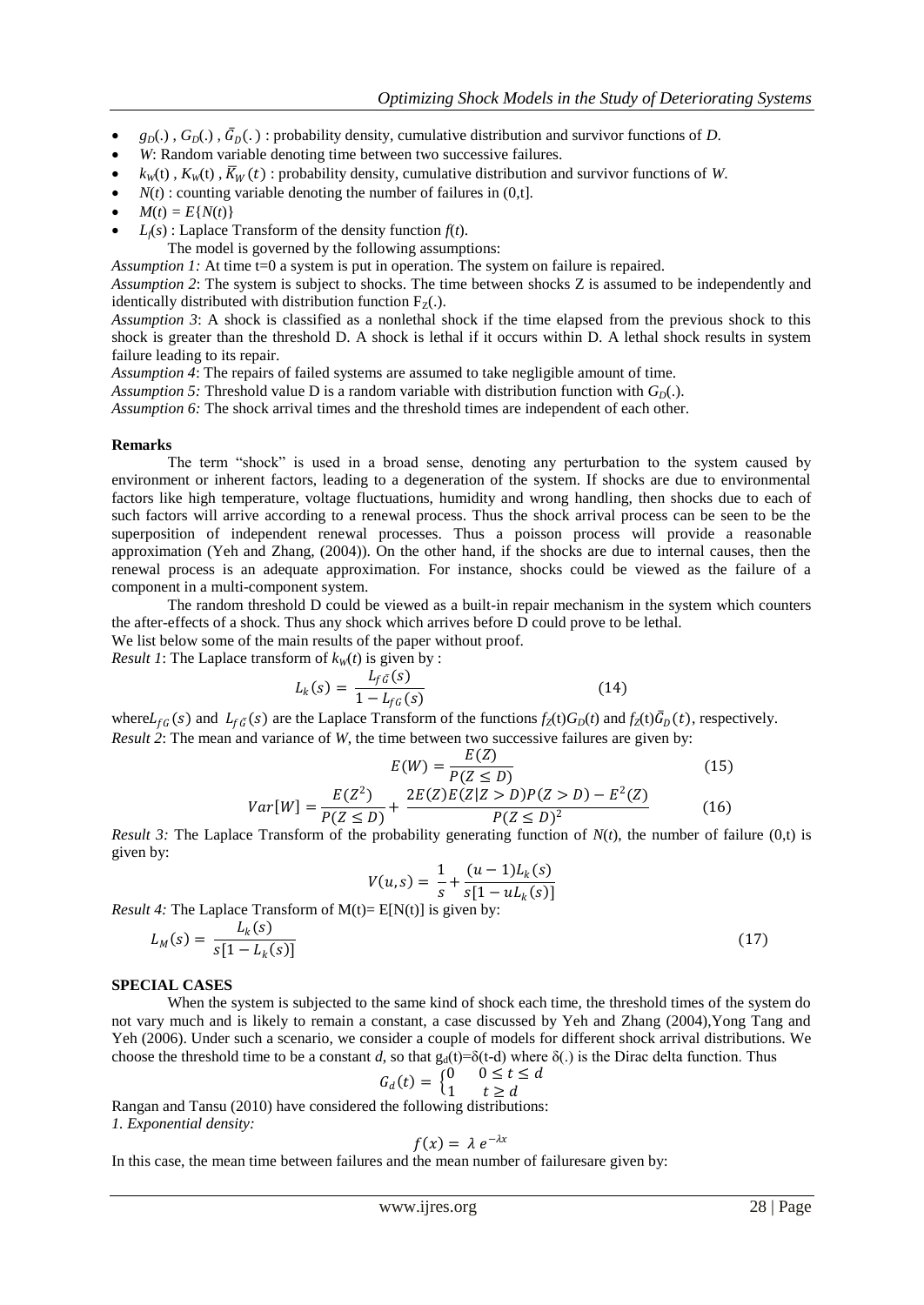- $g_D(.)$ ,  $G_D(.)$ ,  $\bar{G}_D(.)$ : probability density, cumulative distribution and survivor functions of *D*.
- *W*: Random variable denoting time between two successive failures.
- $k_w(t)$ ,  $K_w(t)$ ,  $\overline{K}_w(t)$ : probability density, cumulative distribution and survivor functions of *W*.
- $N(t)$ : counting variable denoting the number of failures in  $(0,t]$ .
- $M(t) = E{N(t)}$
- $L_f(s)$ : Laplace Transform of the density function  $f(t)$ .
- The model is governed by the following assumptions:

*Assumption 1:* At time t=0 a system is put in operation. The system on failure is repaired.

*Assumption 2*: The system is subject to shocks. The time between shocks Z is assumed to be independently and identically distributed with distribution function  $F_Z(.)$ .

*Assumption 3*: A shock is classified as a nonlethal shock if the time elapsed from the previous shock to this shock is greater than the threshold D. A shock is lethal if it occurs within D. A lethal shock results in system failure leading to its repair.

*Assumption 4*: The repairs of failed systems are assumed to take negligible amount of time.

*Assumption 5:* Threshold value D is a random variable with distribution function with  $G_D(.)$ .

*Assumption 6:* The shock arrival times and the threshold times are independent of each other.

#### **Remarks**

The term "shock" is used in a broad sense, denoting any perturbation to the system caused by environment or inherent factors, leading to a degeneration of the system. If shocks are due to environmental factors like high temperature, voltage fluctuations, humidity and wrong handling, then shocks due to each of such factors will arrive according to a renewal process. Thus the shock arrival process can be seen to be the superposition of independent renewal processes. Thus a poisson process will provide a reasonable approximation (Yeh and Zhang, (2004)). On the other hand, if the shocks are due to internal causes, then the renewal process is an adequate approximation. For instance, shocks could be viewed as the failure of a component in a multi-component system.

The random threshold D could be viewed as a built-in repair mechanism in the system which counters the after-effects of a shock. Thus any shock which arrives before D could prove to be lethal.

We list below some of the main results of the paper without proof.

*Result 1*: The Laplace transform of  $k<sub>W</sub>(t)$  is given by :

$$
L_k(s) = \frac{L_{f\bar{G}}(s)}{1 - L_{f\bar{G}}(s)}\tag{14}
$$

where  $L_{fG}(s)$  and  $L_{fG}(s)$  are the Laplace Transform of the functions  $f_Z(t)G_D(t)$  and  $f_Z(t)\bar{G}_D(t)$ , respectively. *Result 2*: The mean and variance of *W*, the time between two successive failures are given by:

$$
E(W) = \frac{E(Z)}{P(Z \le D)}
$$
(15)  

$$
E(Z^2) = 2E(Z)E(Z|Z > D)P(Z > D) - E^2(Z)
$$

$$
Var[W] = \frac{E(Z^{2})}{P(Z \le D)} + \frac{2E(Z)E(Z|Z > D)P(Z > D) - E^{2}(Z)}{P(Z \le D)^{2}}
$$
(16)

*Result 3:* The Laplace Transform of the probability generating function of  $N(t)$ , the number of failure (0,t) is given by:

$$
V(u, s) = \frac{1}{s} + \frac{(u - 1)L_k(s)}{s[1 - uL_k(s)]}
$$
  
Result 4: The Laplace Transform of M(t)= E[N(t)] is given by:

$$
L_M(s) = \frac{L_k(s)}{s[1 - L_k(s)]}
$$
\n(17)

## **SPECIAL CASES**

When the system is subjected to the same kind of shock each time, the threshold times of the system do not vary much and is likely to remain a constant, a case discussed by Yeh and Zhang (2004),Yong Tang and Yeh (2006). Under such a scenario, we consider a couple of models for different shock arrival distributions. We choose the threshold time to be a constant *d*, so that g<sub>d</sub>(t)=δ(t-d) where δ(.) is the Dirac delta function. Thus

$$
G_d(t) = \begin{cases} 0 & 0 \le t \le d \\ 1 & t \ge d \end{cases}
$$

Rangan and Tansu (2010) have considered the following distributions: *1. Exponential density:*

$$
f(x) = \lambda e^{-\lambda x}
$$

In this case, the mean time between failures and the mean number of failuresare given by: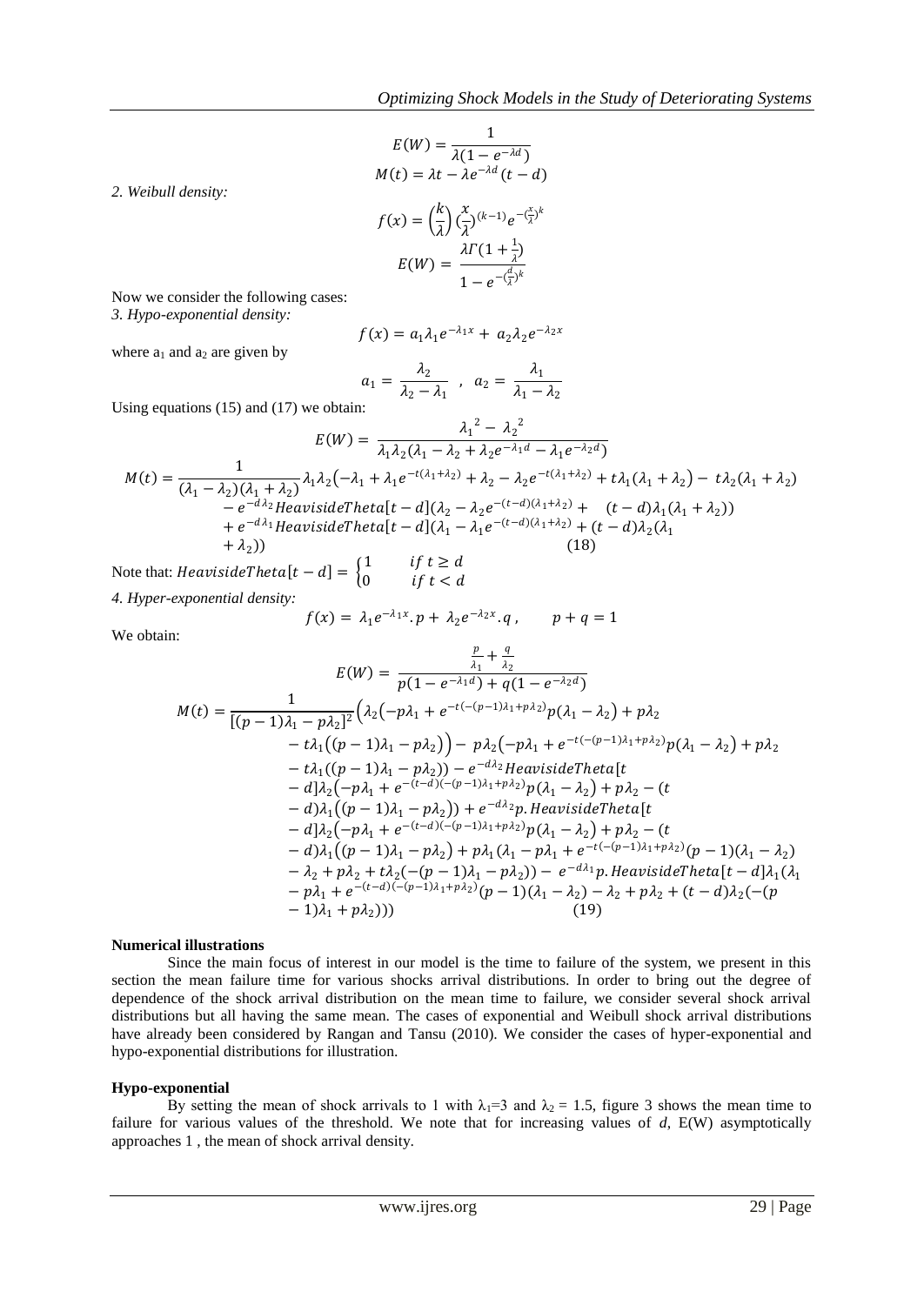$$
E(W) = \frac{1}{\lambda(1 - e^{-\lambda d})}
$$

$$
M(t) = \lambda t - \lambda e^{-\lambda d} (t - d)
$$

$$
f(x) = \left(\frac{k}{\lambda}\right) \left(\frac{x}{\lambda}\right)^{(k-1)} e^{-\left(\frac{x}{\lambda}\right)^k}
$$

$$
E(W) = \frac{\lambda \Gamma(1 + \frac{1}{\lambda})}{1 - e^{-\left(\frac{d}{\lambda}\right)^k}}
$$

Now we consider the following cases: *3. Hypo-exponential density:*

*2. Weibull density:*

$$
f(x) = a_1 \lambda_1 e^{-\lambda_1 x} + a_2 \lambda_2 e^{-\lambda_2 x}
$$

where  $a_1$  and  $a_2$  are given by

$$
a_1 = \frac{\lambda_2}{\lambda_2 - \lambda_1} \; , \; a_2 = \frac{\lambda_1}{\lambda_1 - \lambda_2}
$$

Using equations (15) and (17) we obtain:

$$
E(W) = \frac{\lambda_1^2 - \lambda_2^2}{\lambda_1 \lambda_2 (\lambda_1 - \lambda_2 + \lambda_2 e^{-\lambda_1 d} - \lambda_1 e^{-\lambda_2 d})}
$$
  
\n
$$
M(t) = \frac{1}{(\lambda_1 - \lambda_2)(\lambda_1 + \lambda_2)} \lambda_1 \lambda_2 (-\lambda_1 + \lambda_1 e^{-t(\lambda_1 + \lambda_2)} + \lambda_2 - \lambda_2 e^{-t(\lambda_1 + \lambda_2)} + t\lambda_1 (\lambda_1 + \lambda_2) - t\lambda_2 (\lambda_1 + \lambda_2)
$$
  
\n
$$
- e^{-d\lambda_2} HeavisideTheta[t - d](\lambda_2 - \lambda_2 e^{-(t - d)(\lambda_1 + \lambda_2)} + (t - d)\lambda_1 (\lambda_1 + \lambda_2))
$$
  
\n
$$
+ e^{-d\lambda_1} HeavisideTheta[t - d](\lambda_1 - \lambda_1 e^{-(t - d)(\lambda_1 + \lambda_2)} + (t - d)\lambda_2 (\lambda_1 + \lambda_2))
$$
  
\n(18)

Note that: *HeavisideTheta*[ $t - d$ ] =  $\begin{cases} 1 \\ 0 \end{cases}$ if  $t \geq d$  $\int$  if  $t < d$ *4. Hyper-exponential density:*

$$
f(x)=\,\lambda_1e^{-\lambda_1x}.p+\,\lambda_2e^{-\lambda_2x}.q\,,\qquad p+q=1
$$

We obtain:

$$
E(W) = \frac{\frac{p}{\lambda_1} + \frac{q}{\lambda_2}}{p(1 - e^{-\lambda_1 d}) + q(1 - e^{-\lambda_2 d})}
$$
  
\n
$$
M(t) = \frac{1}{[(p-1)\lambda_1 - p\lambda_2]^2} \left( \lambda_2(-p\lambda_1 + e^{-t(-p-1)\lambda_1 + p\lambda_2})p(\lambda_1 - \lambda_2) + p\lambda_2 - t\lambda_1((p-1)\lambda_1 - p\lambda_2)\right) - p\lambda_2(-p\lambda_1 + e^{-t(-p-1)\lambda_1 + p\lambda_2})p(\lambda_1 - \lambda_2) + p\lambda_2 - t\lambda_1((p-1)\lambda_1 - p\lambda_2)) - e^{-d\lambda_2}HeavisideTheta[
$$
  
\n
$$
- d]\lambda_2(-p\lambda_1 + e^{-(t-d)(-(p-1)\lambda_1 + p\lambda_2)})p(\lambda_1 - \lambda_2) + p\lambda_2 - (t - d)\lambda_1((p-1)\lambda_1 - p\lambda_2)) + e^{-d\lambda_2}p.HeavisideTheta[
$$
  
\n
$$
- d]\lambda_2(-p\lambda_1 + e^{-(t-d)(-(p-1)\lambda_1 + p\lambda_2)})p(\lambda_1 - \lambda_2) + p\lambda_2 - (t - d)\lambda_1((p-1)\lambda_1 - p\lambda_2) + p\lambda_1(\lambda_1 - p\lambda_1 + e^{-t(-(p-1)\lambda_1 + p\lambda_2)})(p-1)(\lambda_1 - \lambda_2) - \lambda_2 + p\lambda_2 + t\lambda_2(-(p-1)\lambda_1 + p\lambda_2)(p-1)(\lambda_1 - \lambda_2) - e^{-d\lambda_1}p.HeavisideTheta[
$$
  
\n
$$
- p\lambda_1 + e^{-(t-d)(-(p-1)\lambda_1 + p\lambda_2)}(p-1)(\lambda_1 - \lambda_2) - \lambda_2 + p\lambda_2 + (t-d)\lambda_2(-(p-1)\lambda_1 + p\lambda_2)))
$$
  
\n(19)

## **Numerical illustrations**

Since the main focus of interest in our model is the time to failure of the system, we present in this section the mean failure time for various shocks arrival distributions. In order to bring out the degree of dependence of the shock arrival distribution on the mean time to failure, we consider several shock arrival distributions but all having the same mean. The cases of exponential and Weibull shock arrival distributions have already been considered by Rangan and Tansu (2010). We consider the cases of hyper-exponential and hypo-exponential distributions for illustration.

## **Hypo-exponential**

By setting the mean of shock arrivals to 1 with  $\lambda_1=3$  and  $\lambda_2=1.5$ , figure 3 shows the mean time to failure for various values of the threshold. We note that for increasing values of *d*, E(W) asymptotically approaches 1 , the mean of shock arrival density.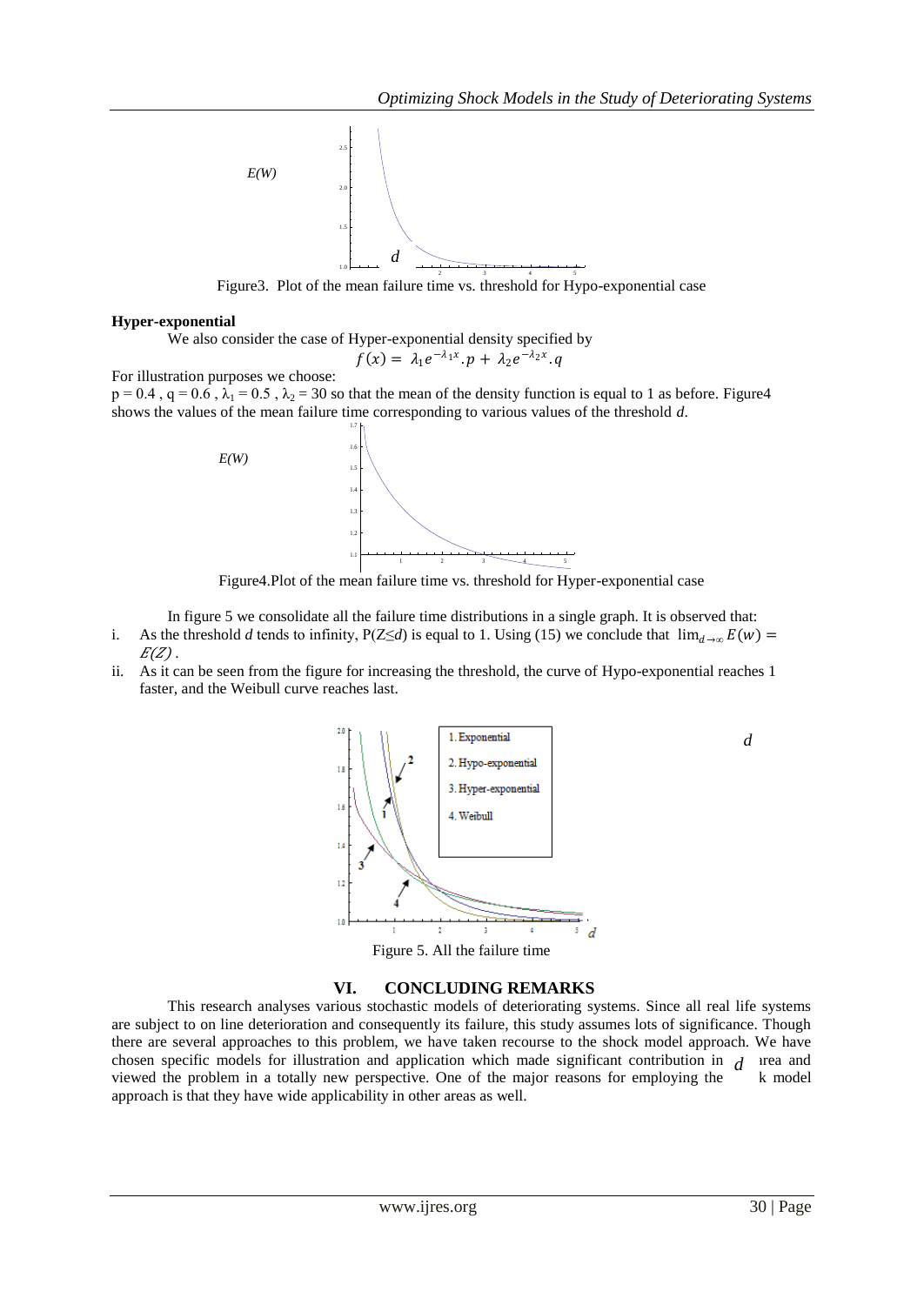

Figure3. Plot of the mean failure time vs. threshold for Hypo-exponential case

## **Hyper-exponential**

We also consider the case of Hyper-exponential density specified by

$$
f(x) = \lambda_1 e^{-\lambda_1 x} . p + \lambda_2 e^{-\lambda_2 x} . q
$$

For illustration purposes we choose:

 $p = 0.4$ ,  $q = 0.6$ ,  $\lambda_1 = 0.5$ ,  $\lambda_2 = 30$  so that the mean of the density function is equal to 1 as before. Figure 4 shows the values of the mean failure time corresponding to various values of the threshold *d*.



Figure4.Plot of the mean failure time vs. threshold for Hyper-exponential case

In figure 5 we consolidate all the failure time distributions in a single graph. It is observed that:

- i. As the threshold *d* tends to infinity, P(Z≤*d*) is equal to 1. Using (15) we conclude that  $\lim_{d\to\infty} E(w) =$  $E(Z)$ .
- ii. As it can be seen from the figure for increasing the threshold, the curve of Hypo-exponential reaches 1 faster, and the Weibull curve reaches last.



Figure 5. All the failure time

## **VI. CONCLUDING REMARKS**

This research analyses various stochastic models of deteriorating systems. Since all real life systems are subject to on line deterioration and consequently its failure, this study assumes lots of significance. Though there are several approaches to this problem, we have taken recourse to the shock model approach. We have chosen specific models for illustration and application which made significant contribution in  $d$  urea and viewed the problem in a totally new perspective. One of the major reasons for employing the  $\sim$  k model approach is that they have wide applicability in other areas as well.

*d*